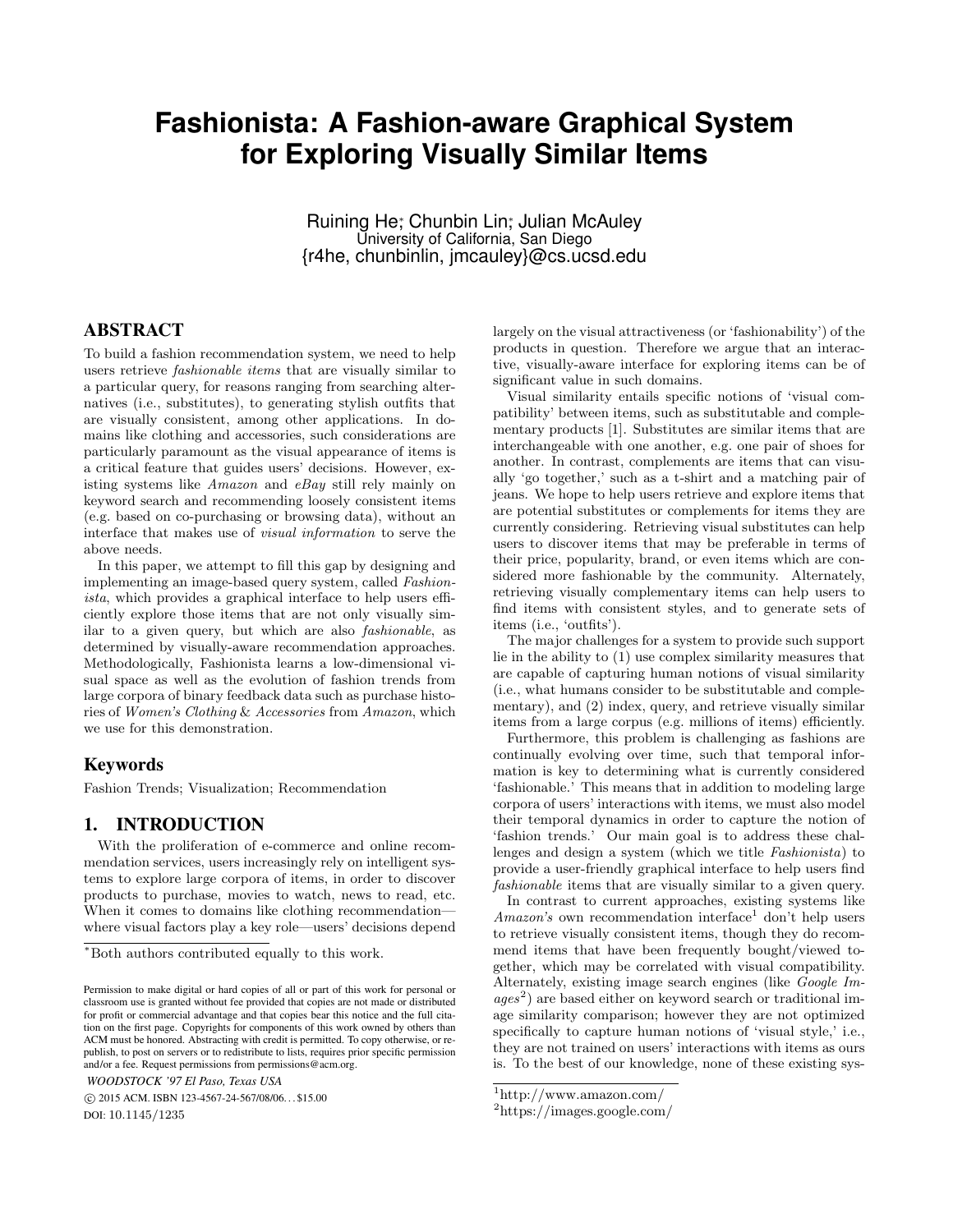# **Fashionista: A Fashion-aware Graphical System for Exploring Visually Similar Items**

Ruining He<sup>∗</sup> , Chunbin Lin<sup>∗</sup> , Julian McAuley University of California, San Diego {r4he, chunbinlin, jmcauley}@cs.ucsd.edu

# ABSTRACT

To build a fashion recommendation system, we need to help users retrieve fashionable items that are visually similar to a particular query, for reasons ranging from searching alternatives (i.e., substitutes), to generating stylish outfits that are visually consistent, among other applications. In domains like clothing and accessories, such considerations are particularly paramount as the visual appearance of items is a critical feature that guides users' decisions. However, existing systems like Amazon and eBay still rely mainly on keyword search and recommending loosely consistent items (e.g. based on co-purchasing or browsing data), without an interface that makes use of visual information to serve the above needs.

In this paper, we attempt to fill this gap by designing and implementing an image-based query system, called Fashionista, which provides a graphical interface to help users efficiently explore those items that are not only visually similar to a given query, but which are also fashionable, as determined by visually-aware recommendation approaches. Methodologically, Fashionista learns a low-dimensional visual space as well as the evolution of fashion trends from large corpora of binary feedback data such as purchase histories of Women's Clothing & Accessories from Amazon, which we use for this demonstration.

## Keywords

Fashion Trends; Visualization; Recommendation

## 1. INTRODUCTION

With the proliferation of e-commerce and online recommendation services, users increasingly rely on intelligent systems to explore large corpora of items, in order to discover products to purchase, movies to watch, news to read, etc. When it comes to domains like clothing recommendation where visual factors play a key role—users' decisions depend

*WOODSTOCK '97 El Paso, Texas USA*

 c 2015 ACM. ISBN 123-4567-24-567/08/06. . . \$15.00 DOI: 10.1145/1235

largely on the visual attractiveness (or 'fashionability') of the products in question. Therefore we argue that an interactive, visually-aware interface for exploring items can be of significant value in such domains.

Visual similarity entails specific notions of 'visual compatibility' between items, such as substitutable and complementary products [1]. Substitutes are similar items that are interchangeable with one another, e.g. one pair of shoes for another. In contrast, complements are items that can visually 'go together,' such as a t-shirt and a matching pair of jeans. We hope to help users retrieve and explore items that are potential substitutes or complements for items they are currently considering. Retrieving visual substitutes can help users to discover items that may be preferable in terms of their price, popularity, brand, or even items which are considered more fashionable by the community. Alternately, retrieving visually complementary items can help users to find items with consistent styles, and to generate sets of items (i.e., 'outfits').

The major challenges for a system to provide such support lie in the ability to (1) use complex similarity measures that are capable of capturing human notions of visual similarity (i.e., what humans consider to be substitutable and complementary), and (2) index, query, and retrieve visually similar items from a large corpus (e.g. millions of items) efficiently.

Furthermore, this problem is challenging as fashions are continually evolving over time, such that temporal information is key to determining what is currently considered 'fashionable.' This means that in addition to modeling large corpora of users' interactions with items, we must also model their temporal dynamics in order to capture the notion of 'fashion trends.' Our main goal is to address these challenges and design a system (which we title Fashionista) to provide a user-friendly graphical interface to help users find fashionable items that are visually similar to a given query.

In contrast to current approaches, existing systems like  $A$ mazon's own recommendation interface<sup>1</sup> don't help users to retrieve visually consistent items, though they do recommend items that have been frequently bought/viewed together, which may be correlated with visual compatibility. Alternately, existing image search engines (like Google Im $ages<sup>2</sup>$ ) are based either on keyword search or traditional image similarity comparison; however they are not optimized specifically to capture human notions of 'visual style,' i.e., they are not trained on users' interactions with items as ours is. To the best of our knowledge, none of these existing sys-

<sup>∗</sup>Both authors contributed equally to this work.

Permission to make digital or hard copies of all or part of this work for personal or classroom use is granted without fee provided that copies are not made or distributed for profit or commercial advantage and that copies bear this notice and the full citation on the first page. Copyrights for components of this work owned by others than ACM must be honored. Abstracting with credit is permitted. To copy otherwise, or republish, to post on servers or to redistribute to lists, requires prior specific permission and/or a fee. Request permissions from permissions@acm.org.

<sup>1</sup>http://www.amazon.com/

<sup>2</sup>https://images.google.com/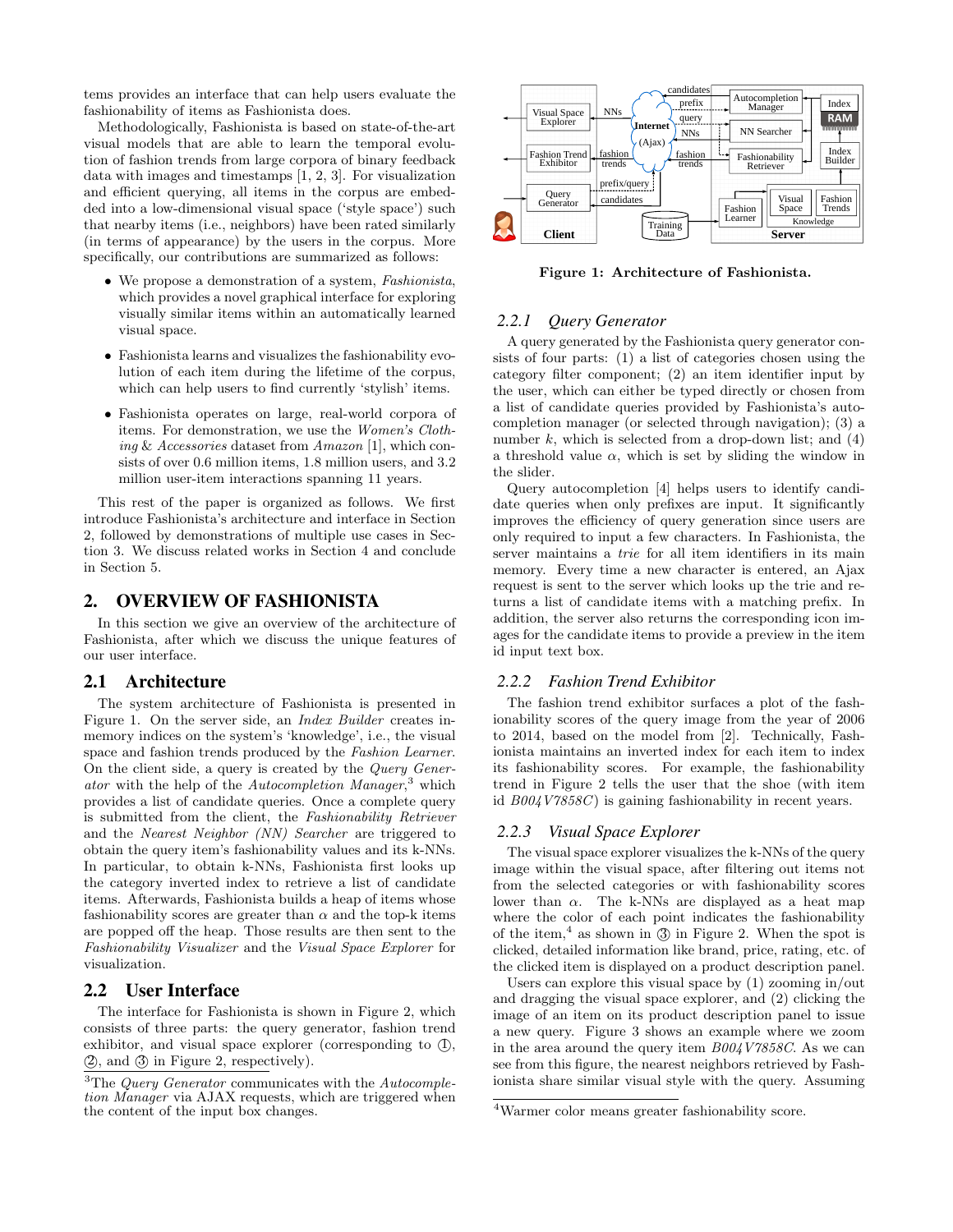tems provides an interface that can help users evaluate the fashionability of items as Fashionista does.

Methodologically, Fashionista is based on state-of-the-art visual models that are able to learn the temporal evolution of fashion trends from large corpora of binary feedback data with images and timestamps [1, 2, 3]. For visualization and efficient querying, all items in the corpus are embedded into a low-dimensional visual space ('style space') such that nearby items (i.e., neighbors) have been rated similarly (in terms of appearance) by the users in the corpus. More specifically, our contributions are summarized as follows:

- We propose a demonstration of a system, Fashionista, which provides a novel graphical interface for exploring visually similar items within an automatically learned visual space.
- Fashionista learns and visualizes the fashionability evolution of each item during the lifetime of the corpus, which can help users to find currently 'stylish' items.
- Fashionista operates on large, real-world corpora of items. For demonstration, we use the Women's Clothing & Accessories dataset from Amazon [1], which consists of over 0.6 million items, 1.8 million users, and 3.2 million user-item interactions spanning 11 years.

This rest of the paper is organized as follows. We first introduce Fashionista's architecture and interface in Section 2, followed by demonstrations of multiple use cases in Section 3. We discuss related works in Section 4 and conclude in Section 5.

#### 2. OVERVIEW OF FASHIONISTA

In this section we give an overview of the architecture of Fashionista, after which we discuss the unique features of our user interface.

#### 2.1 Architecture

The system architecture of Fashionista is presented in Figure 1. On the server side, an Index Builder creates inmemory indices on the system's 'knowledge', i.e., the visual space and fashion trends produced by the Fashion Learner. On the client side, a query is created by the Query Generator with the help of the Autocompletion Manager,<sup>3</sup> which provides a list of candidate queries. Once a complete query is submitted from the client, the Fashionability Retriever and the Nearest Neighbor (NN) Searcher are triggered to obtain the query item's fashionability values and its k-NNs. In particular, to obtain k-NNs, Fashionista first looks up the category inverted index to retrieve a list of candidate items. Afterwards, Fashionista builds a heap of items whose fashionability scores are greater than  $\alpha$  and the top-k items are popped off the heap. Those results are then sent to the Fashionability Visualizer and the Visual Space Explorer for visualization.

#### 2.2 User Interface

The interface for Fashionista is shown in Figure 2, which consists of three parts: the query generator, fashion trend exhibitor, and visual space explorer (corresponding to  $(1)$ , (2), and (3) in Figure 2, respectively).



Figure 1: Architecture of Fashionista.

#### *2.2.1 Query Generator*

A query generated by the Fashionista query generator consists of four parts: (1) a list of categories chosen using the category filter component; (2) an item identifier input by the user, which can either be typed directly or chosen from a list of candidate queries provided by Fashionista's autocompletion manager (or selected through navigation); (3) a number k, which is selected from a drop-down list; and  $(4)$ a threshold value  $\alpha$ , which is set by sliding the window in the slider.

Query autocompletion [4] helps users to identify candidate queries when only prefixes are input. It significantly improves the efficiency of query generation since users are only required to input a few characters. In Fashionista, the server maintains a *trie* for all item identifiers in its main memory. Every time a new character is entered, an Ajax request is sent to the server which looks up the trie and returns a list of candidate items with a matching prefix. In addition, the server also returns the corresponding icon images for the candidate items to provide a preview in the item id input text box.

#### *2.2.2 Fashion Trend Exhibitor*

The fashion trend exhibitor surfaces a plot of the fashionability scores of the query image from the year of 2006 to 2014, based on the model from [2]. Technically, Fashionista maintains an inverted index for each item to index its fashionability scores. For example, the fashionability trend in Figure 2 tells the user that the shoe (with item id  $B004V7858C$  is gaining fashionability in recent years.

#### *2.2.3 Visual Space Explorer*

The visual space explorer visualizes the k-NNs of the query image within the visual space, after filtering out items not from the selected categories or with fashionability scores lower than  $\alpha$ . The k-NNs are displayed as a heat map where the color of each point indicates the fashionability of the item,<sup>4</sup> as shown in  $\circled{3}$  in Figure 2. When the spot is clicked, detailed information like brand, price, rating, etc. of the clicked item is displayed on a product description panel.

Users can explore this visual space by (1) zooming in/out and dragging the visual space explorer, and (2) clicking the image of an item on its product description panel to issue a new query. Figure 3 shows an example where we zoom in the area around the query item B004V7858C. As we can see from this figure, the nearest neighbors retrieved by Fashionista share similar visual style with the query. Assuming

 $3$ The Query Generator communicates with the Autocompletion Manager via AJAX requests, which are triggered when the content of the input box changes.

<sup>4</sup>Warmer color means greater fashionability score.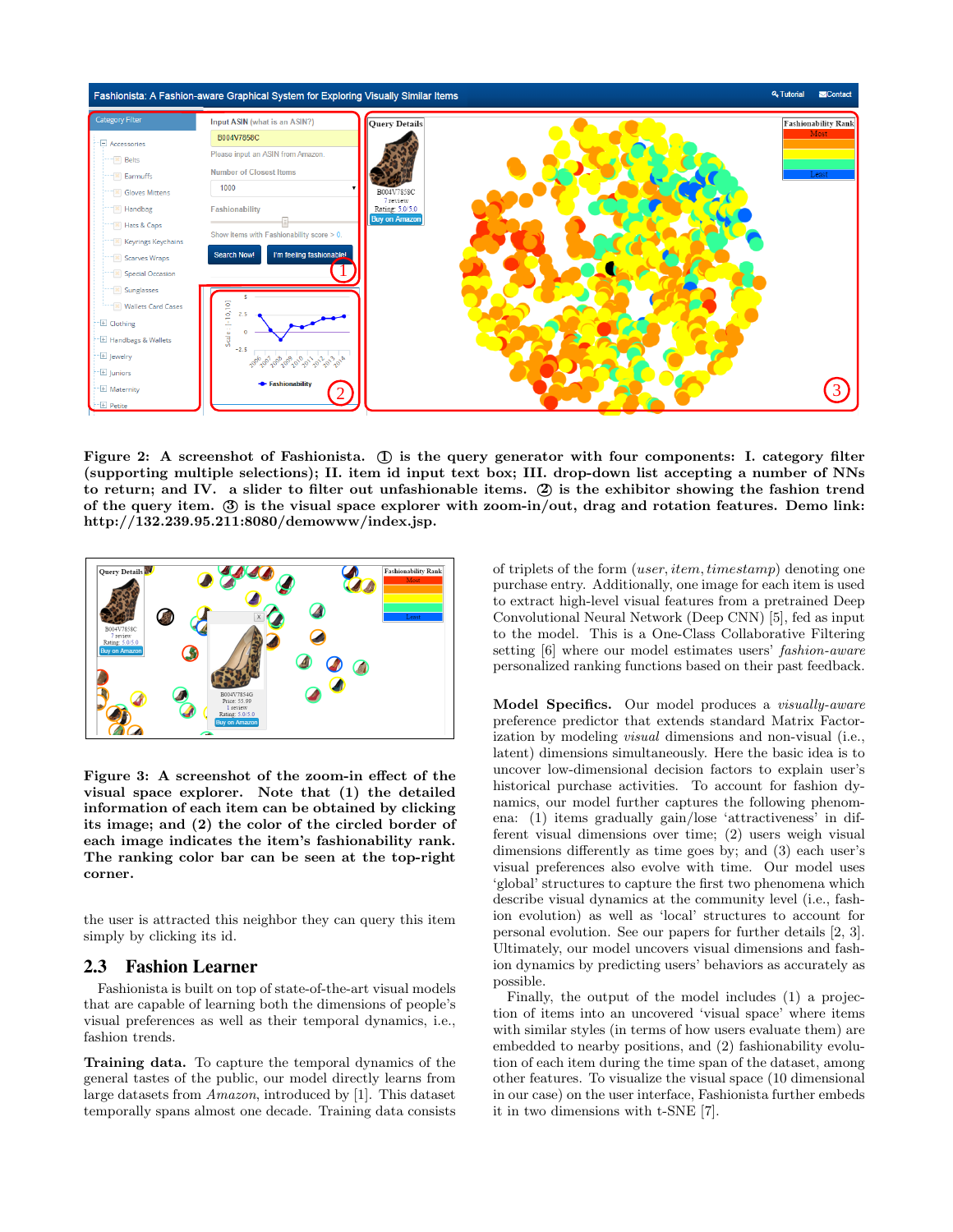

Figure 2: A screenshot of Fashionista. (I) is the query generator with four components: I. category filter (supporting multiple selections); II. item id input text box; III. drop-down list accepting a number of NNs to return; and IV. a slider to filter out unfashionable items. (2) is the exhibitor showing the fashion trend of the query item. 3 is the visual space explorer with zoom-in/out, drag and rotation features. Demo link: http://132.239.95.211:8080/demowww/index.jsp.



Figure 3: A screenshot of the zoom-in effect of the visual space explorer. Note that (1) the detailed information of each item can be obtained by clicking its image; and (2) the color of the circled border of each image indicates the item's fashionability rank. The ranking color bar can be seen at the top-right corner.

the user is attracted this neighbor they can query this item simply by clicking its id.

#### 2.3 Fashion Learner

Fashionista is built on top of state-of-the-art visual models that are capable of learning both the dimensions of people's visual preferences as well as their temporal dynamics, i.e., fashion trends.

Training data. To capture the temporal dynamics of the general tastes of the public, our model directly learns from large datasets from Amazon, introduced by [1]. This dataset temporally spans almost one decade. Training data consists of triplets of the form (user, item, timestamp) denoting one purchase entry. Additionally, one image for each item is used to extract high-level visual features from a pretrained Deep Convolutional Neural Network (Deep CNN) [5], fed as input to the model. This is a One-Class Collaborative Filtering setting [6] where our model estimates users' fashion-aware personalized ranking functions based on their past feedback.

Model Specifics. Our model produces a *visually-aware* preference predictor that extends standard Matrix Factorization by modeling visual dimensions and non-visual (i.e., latent) dimensions simultaneously. Here the basic idea is to uncover low-dimensional decision factors to explain user's historical purchase activities. To account for fashion dynamics, our model further captures the following phenomena: (1) items gradually gain/lose 'attractiveness' in different visual dimensions over time; (2) users weigh visual dimensions differently as time goes by; and (3) each user's visual preferences also evolve with time. Our model uses 'global' structures to capture the first two phenomena which describe visual dynamics at the community level (i.e., fashion evolution) as well as 'local' structures to account for personal evolution. See our papers for further details [2, 3]. Ultimately, our model uncovers visual dimensions and fashion dynamics by predicting users' behaviors as accurately as possible.

Finally, the output of the model includes (1) a projection of items into an uncovered 'visual space' where items with similar styles (in terms of how users evaluate them) are embedded to nearby positions, and (2) fashionability evolution of each item during the time span of the dataset, among other features. To visualize the visual space (10 dimensional in our case) on the user interface, Fashionista further embeds it in two dimensions with t-SNE [7].